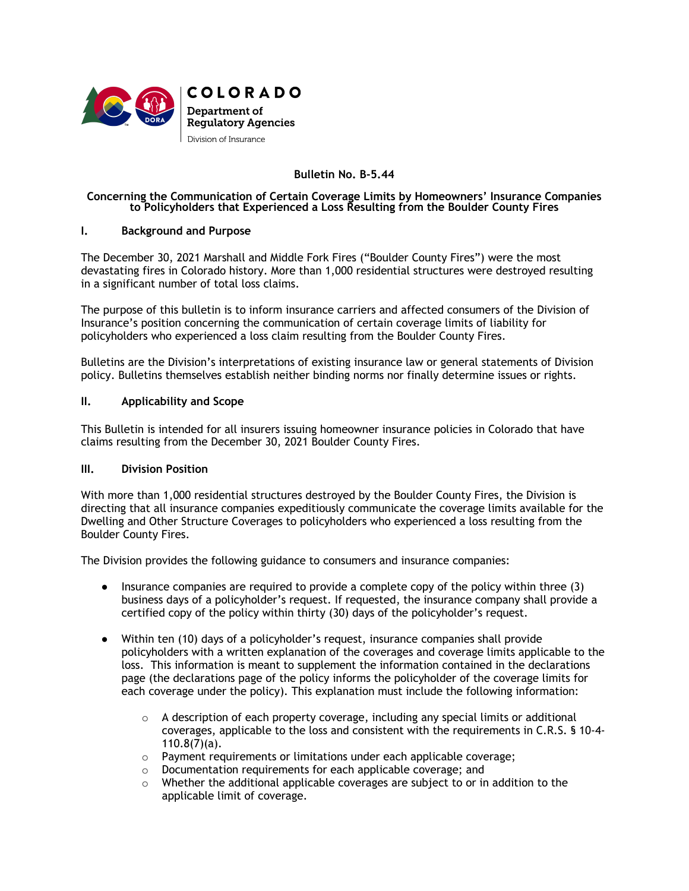

**COLORADO** Department of **Regulatory Agencies** Division of Insurance

# **Bulletin No. B-5.44**

## **Concerning the Communication of Certain Coverage Limits by Homeowners' Insurance Companies to Policyholders that Experienced a Loss Resulting from the Boulder County Fires**

## **I. Background and Purpose**

The December 30, 2021 Marshall and Middle Fork Fires ("Boulder County Fires") were the most devastating fires in Colorado history. More than 1,000 residential structures were destroyed resulting in a significant number of total loss claims.

The purpose of this bulletin is to inform insurance carriers and affected consumers of the Division of Insurance's position concerning the communication of certain coverage limits of liability for policyholders who experienced a loss claim resulting from the Boulder County Fires.

Bulletins are the Division's interpretations of existing insurance law or general statements of Division policy. Bulletins themselves establish neither binding norms nor finally determine issues or rights.

# **II. Applicability and Scope**

This Bulletin is intended for all insurers issuing homeowner insurance policies in Colorado that have claims resulting from the December 30, 2021 Boulder County Fires.

## **III. Division Position**

With more than 1,000 residential structures destroyed by the Boulder County Fires, the Division is directing that all insurance companies expeditiously communicate the coverage limits available for the Dwelling and Other Structure Coverages to policyholders who experienced a loss resulting from the Boulder County Fires.

The Division provides the following guidance to consumers and insurance companies:

- Insurance companies are required to provide a complete copy of the policy within three (3) business days of a policyholder's request. If requested, the insurance company shall provide a certified copy of the policy within thirty (30) days of the policyholder's request.
- Within ten (10) days of a policyholder's request, insurance companies shall provide policyholders with a written explanation of the coverages and coverage limits applicable to the loss. This information is meant to supplement the information contained in the declarations page (the declarations page of the policy informs the policyholder of the coverage limits for each coverage under the policy). This explanation must include the following information:
	- $\circ$  A description of each property coverage, including any special limits or additional coverages, applicable to the loss and consistent with the requirements in C.R.S. § 10-4-  $110.8(7)(a)$ .
	- o Payment requirements or limitations under each applicable coverage;
	- $\circ$  Documentation requirements for each applicable coverage; and  $\circ$  Whether the additional applicable coverages are subject to or in
	- Whether the additional applicable coverages are subject to or in addition to the applicable limit of coverage.